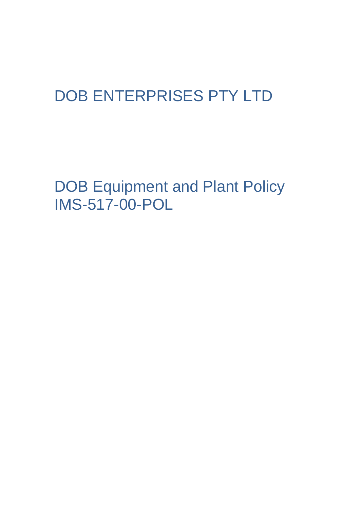## DOB ENTERPRISES PTY LTD

DOB Equipment and Plant Policy IMS-517-00-POL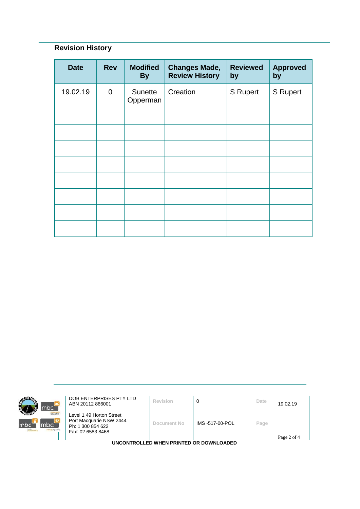## **Revision History**

| <b>Date</b> | <b>Rev</b>     | <b>Modified</b><br><b>By</b> | <b>Changes Made,</b><br><b>Review History</b> | <b>Reviewed</b><br>by | <b>Approved</b><br>by |
|-------------|----------------|------------------------------|-----------------------------------------------|-----------------------|-----------------------|
| 19.02.19    | $\overline{0}$ | Sunette<br>Opperman          | Creation                                      | S Rupert              | S Rupert              |
|             |                |                              |                                               |                       |                       |
|             |                |                              |                                               |                       |                       |
|             |                |                              |                                               |                       |                       |
|             |                |                              |                                               |                       |                       |
|             |                |                              |                                               |                       |                       |
|             |                |                              |                                               |                       |                       |
|             |                |                              |                                               |                       |                       |
|             |                |                              |                                               |                       |                       |



**DOB ENTERPRISES PTY LTD**<br>ABN 20112 866001 **Revision 0 D Date** 19.02.19

Level 1 49 Horton Street Port Macquarie NSW 2444 Ph: 1 300 854 622 Fax: 02 6583 8468

**Document No** IMS -517-00-POL **Page**

**UNCONTROLLED WHEN PRINTED OR DOWNLOADED**

Page 2 of 4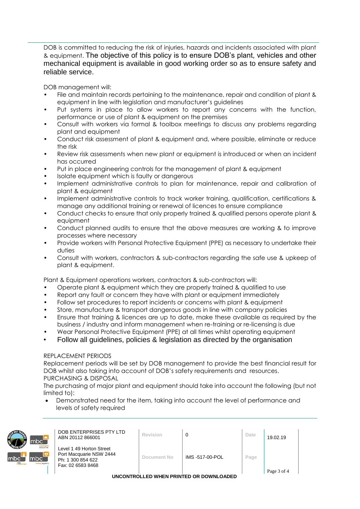DOB is committed to reducing the risk of injuries, hazards and incidents associated with plant & equipment. The objective of this policy is to ensure DOB's plant, vehicles and other mechanical equipment is available in good working order so as to ensure safety and reliable service.

DOB management will:

- File and maintain records pertaining to the maintenance, repair and condition of plant & equipment in line with legislation and manufacturer's guidelines
- Put systems in place to allow workers to report any concerns with the function, performance or use of plant & equipment on the premises
- Consult with workers via formal & toolbox meetings to discuss any problems regarding plant and equipment
- Conduct risk assessment of plant & equipment and, where possible, eliminate or reduce the risk
- Review risk assessments when new plant or equipment is introduced or when an incident has occurred
- Put in place engineering controls for the management of plant & equipment
- Isolate equipment which is faulty or dangerous
- Implement administrative controls to plan for maintenance, repair and calibration of plant & equipment
- Implement administrative controls to track worker training, qualification, certifications & manage any additional training or renewal of licences to ensure compliance
- Conduct checks to ensure that only properly trained & qualified persons operate plant & equipment
- Conduct planned audits to ensure that the above measures are working & to improve processes where necessary
- Provide workers with Personal Protective Equipment (PPE) as necessary to undertake their duties
- Consult with workers, contractors & sub-contractors regarding the safe use & upkeep of plant & equipment.

Plant & Equipment operations workers, contractors & sub-contractors will:

- Operate plant & equipment which they are properly trained & qualified to use
- Report any fault or concern they have with plant or equipment immediately
- Follow set procedures to report incidents or concerns with plant & equipment
- Store, manufacture & transport dangerous goods in line with company policies
- Ensure that training & licences are up to date, make these available as required by the business / industry and inform management when re-training or re-licensing is due
- Wear Personal Protective Equipment (PPE) at all times whilst operating equipment
- Follow all guidelines, policies & legislation as directed by the organisation

## REPLACEMENT PERIODS

Replacement periods will be set by DOB management to provide the best financial result for DOB whilst also taking into account of DOB's safety requirements and resources. PURCHASING & DISPOSAL

The purchasing of major plant and equipment should take into account the following (but not limited to):

• Demonstrated need for the item, taking into account the level of performance and levels of safety required



DOB ENTERPRISES PTY LTD **DOB ENTERPRISES PTY LTD**<br>ABN 20112 866001

Level 1 49 Horton Street

**Document No** IMS -517-00-POL **Page**

Port Macquarie NSW 2444 Ph: 1 300 854 622 Fax: 02 6583 8468

**UNCONTROLLED WHEN PRINTED OR DOWNLOADED**